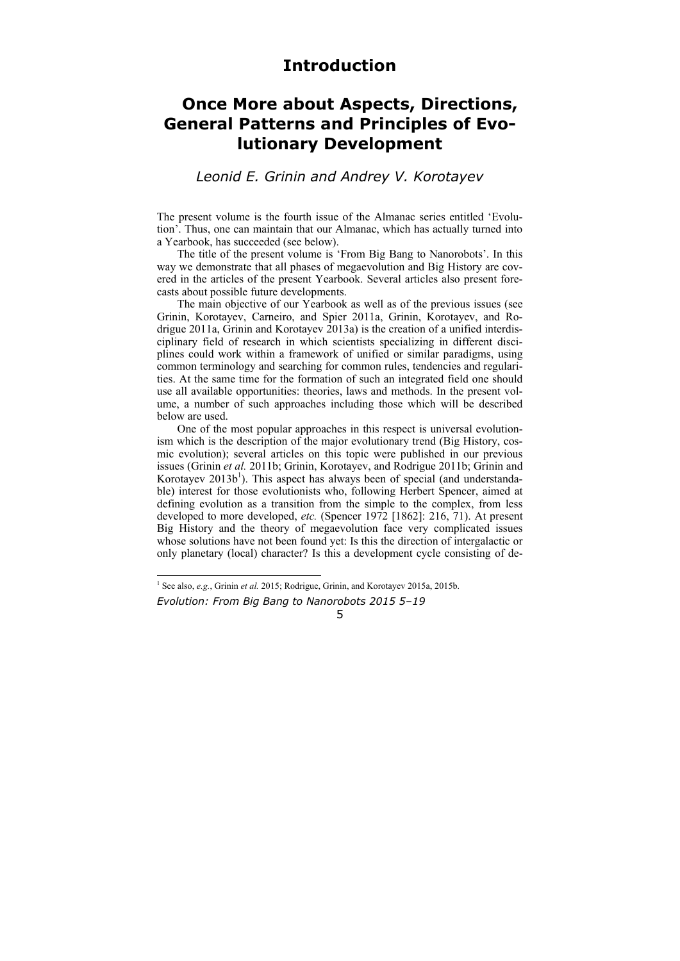## **Introduction**

# **Once More about Aspects, Directions, General Patterns and Principles of Evolutionary Development**

### *Leonid E. Grinin and Andrey V. Korotayev*

The present volume is the fourth issue of the Almanac series entitled 'Evolution'. Thus, one can maintain that our Almanac, which has actually turned into a Yearbook, has succeeded (see below).

The title of the present volume is 'From Big Bang to Nanorobots'. In this way we demonstrate that all phases of megaevolution and Big History are covered in the articles of the present Yearbook. Several articles also present forecasts about possible future developments.

The main objective of our Yearbook as well as of the previous issues (see Grinin, Korotayev, Carneiro, and Spier 2011a, Grinin, Korotayev, and Rodrigue 2011a, Grinin and Korotayev 2013a) is the creation of a unified interdisciplinary field of research in which scientists specializing in different disciplines could work within a framework of unified or similar paradigms, using common terminology and searching for common rules, tendencies and regularities. At the same time for the formation of such an integrated field one should use all available opportunities: theories, laws and methods. In the present volume, a number of such approaches including those which will be described below are used.

One of the most popular approaches in this respect is universal evolutionism which is the description of the major evolutionary trend (Big History, cosmic evolution); several articles on this topic were published in our previous issues (Grinin *et al.* 2011b; Grinin, Korotayev, and Rodrigue 2011b; Grinin and Korotayev 2013b<sup>1</sup>). This aspect has always been of special (and understandable) interest for those evolutionists who, following Herbert Spencer, aimed at defining evolution as a transition from the simple to the complex, from less developed to more developed, *etc.* (Spencer 1972 [1862]: 216, 71). At present Big History and the theory of megaevolution face very complicated issues whose solutions have not been found yet: Is this the direction of intergalactic or only planetary (local) character? Is this a development cycle consisting of de-

 $\overline{a}$ 

5

*Evolution: From Big Bang to Nanorobots 2015 5–19*  <sup>1</sup> See also, *e.g.*, Grinin *et al.* 2015; Rodrigue, Grinin, and Korotayev 2015a, 2015b.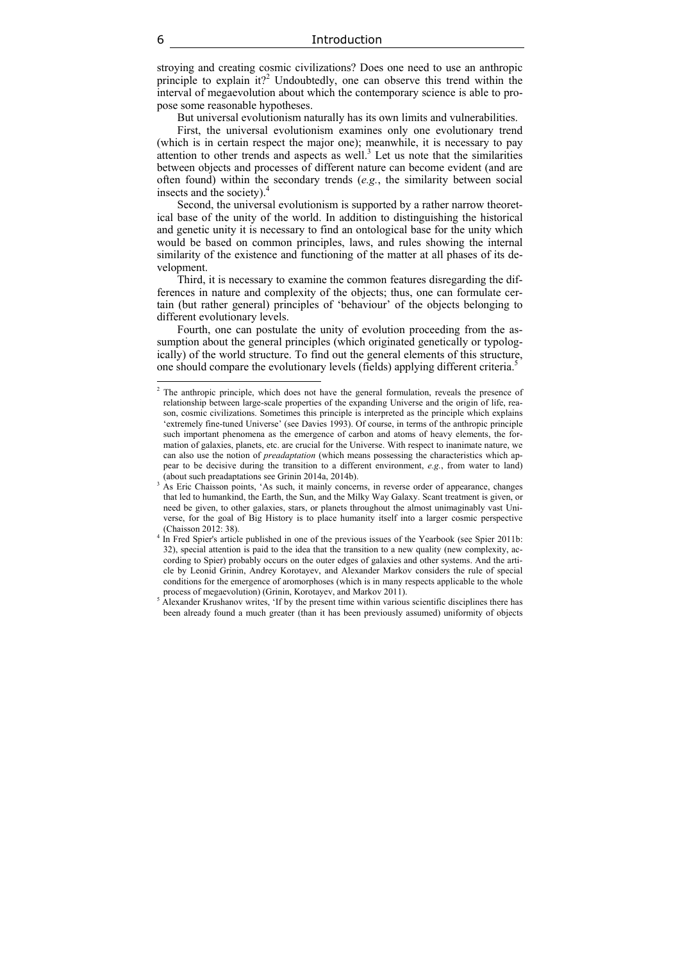stroying and creating cosmic civilizations? Does one need to use an anthropic principle to explain it?<sup>2</sup> Undoubtedly, one can observe this trend within the interval of megaevolution about which the contemporary science is able to propose some reasonable hypotheses.

But universal evolutionism naturally has its own limits and vulnerabilities.

First, the universal evolutionism examines only one evolutionary trend (which is in certain respect the major one); meanwhile, it is necessary to pay attention to other trends and aspects as well.<sup>3</sup> Let us note that the similarities between objects and processes of different nature can become evident (and are often found) within the secondary trends (*e.g.*, the similarity between social insects and the society).

Second, the universal evolutionism is supported by a rather narrow theoretical base of the unity of the world. In addition to distinguishing the historical and genetic unity it is necessary to find an ontological base for the unity which would be based on common principles, laws, and rules showing the internal similarity of the existence and functioning of the matter at all phases of its development.

Third, it is necessary to examine the common features disregarding the differences in nature and complexity of the objects; thus, one can formulate certain (but rather general) principles of 'behaviour' of the objects belonging to different evolutionary levels.

Fourth, one can postulate the unity of evolution proceeding from the assumption about the general principles (which originated genetically or typologically) of the world structure. To find out the general elements of this structure, one should compare the evolutionary levels (fields) applying different criteria.5

<sup>&</sup>lt;sup>2</sup> The anthropic principle, which does not have the general formulation, reveals the presence of relationship between large-scale properties of the expanding Universe and the origin of life, reason, cosmic civilizations. Sometimes this principle is interpreted as the principle which explains 'extremely fine-tuned Universe' (see Davies 1993). Of course, in terms of the anthropic principle such important phenomena as the emergence of carbon and atoms of heavy elements, the formation of galaxies, planets, etc. are crucial for the Universe. With respect to inanimate nature, we can also use the notion of *preadaptation* (which means possessing the characteristics which appear to be decisive during the transition to a different environment, *e.g.*, from water to land) (about such preadaptations see Grinin 2014a, 2014b).

<sup>&</sup>lt;sup>3</sup> As Eric Chaisson points, 'As such, it mainly concerns, in reverse order of appearance, changes that led to humankind, the Earth, the Sun, and the Milky Way Galaxy. Scant treatment is given, or need be given, to other galaxies, stars, or planets throughout the almost unimaginably vast Universe, for the goal of Big History is to place humanity itself into a larger cosmic perspective (Chaisson 2012: 38).

<sup>4</sup> In Fred Spier's article published in one of the previous issues of the Yearbook (see Spier 2011b: 32), special attention is paid to the idea that the transition to a new quality (new complexity, according to Spier) probably occurs on the outer edges of galaxies and other systems. And the article by Leonid Grinin, Andrey Korotayev, and Alexander Markov considers the rule of special conditions for the emergence of aromorphoses (which is in many respects applicable to the whole process of megaevolution) (Grinin, Korotayev, and Markov 2011).

<sup>&</sup>lt;sup>5</sup> Alexander Krushanov writes, 'If by the present time within various scientific disciplines there has been already found a much greater (than it has been previously assumed) uniformity of objects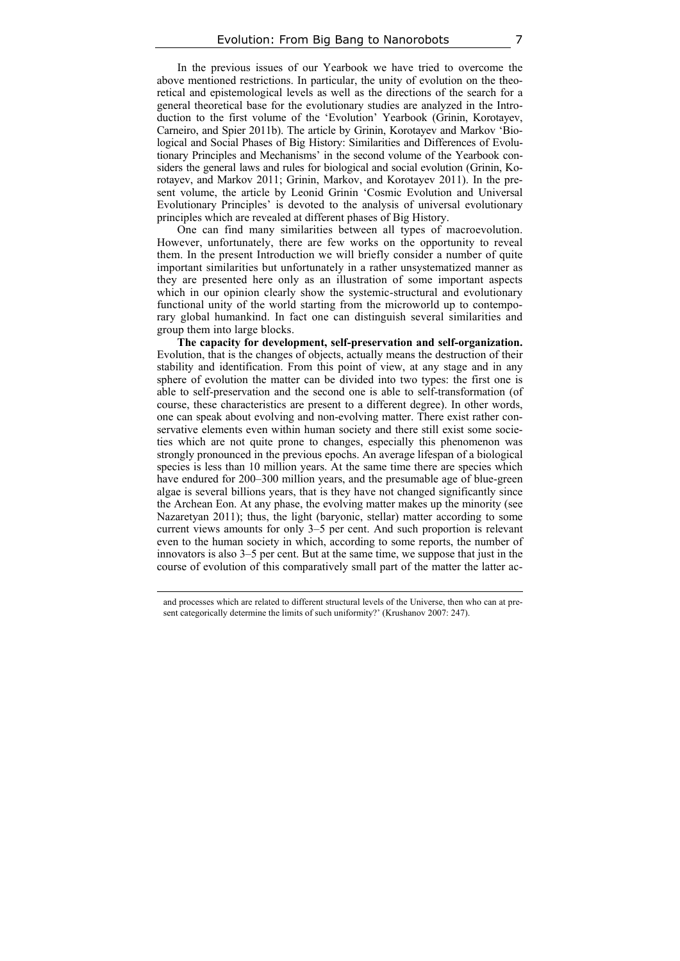In the previous issues of our Yearbook we have tried to overcome the above mentioned restrictions. In particular, the unity of evolution on the theoretical and epistemological levels as well as the directions of the search for a general theoretical base for the evolutionary studies are analyzed in the Introduction to the first volume of the 'Evolution' Yearbook (Grinin, Korotayev, Carneiro, and Spier 2011b). The article by Grinin, Korotayev and Markov 'Biological and Social Phases of Big History: Similarities and Differences of Evolutionary Principles and Mechanisms' in the second volume of the Yearbook considers the general laws and rules for biological and social evolution (Grinin, Korotayev, and Markov 2011; Grinin, Markov, and Korotayev 2011). In the present volume, the article by Leonid Grinin 'Cosmic Evolution and Universal Evolutionary Principles' is devoted to the analysis of universal evolutionary principles which are revealed at different phases of Big History.

One can find many similarities between all types of macroevolution. However, unfortunately, there are few works on the opportunity to reveal them. In the present Introduction we will briefly consider a number of quite important similarities but unfortunately in a rather unsystematized manner as they are presented here only as an illustration of some important aspects which in our opinion clearly show the systemic-structural and evolutionary functional unity of the world starting from the microworld up to contemporary global humankind. In fact one can distinguish several similarities and group them into large blocks.

**The capacity for development, self-preservation and self-organization.**  Evolution, that is the changes of objects, actually means the destruction of their stability and identification. From this point of view, at any stage and in any sphere of evolution the matter can be divided into two types: the first one is able to self-preservation and the second one is able to self-transformation (of course, these characteristics are present to a different degree). In other words, one can speak about evolving and non-evolving matter. There exist rather conservative elements even within human society and there still exist some societies which are not quite prone to changes, especially this phenomenon was strongly pronounced in the previous epochs. An average lifespan of a biological species is less than 10 million years. At the same time there are species which have endured for 200–300 million years, and the presumable age of blue-green algae is several billions years, that is they have not changed significantly since the Archean Eon. At any phase, the evolving matter makes up the minority (see Nazaretyan 2011); thus, the light (baryonic, stellar) matter according to some current views amounts for only 3–5 per cent. And such proportion is relevant even to the human society in which, according to some reports, the number of innovators is also 3–5 per cent. But at the same time, we suppose that just in the course of evolution of this comparatively small part of the matter the latter ac-

 and processes which are related to different structural levels of the Universe, then who can at present categorically determine the limits of such uniformity?' (Krushanov 2007: 247).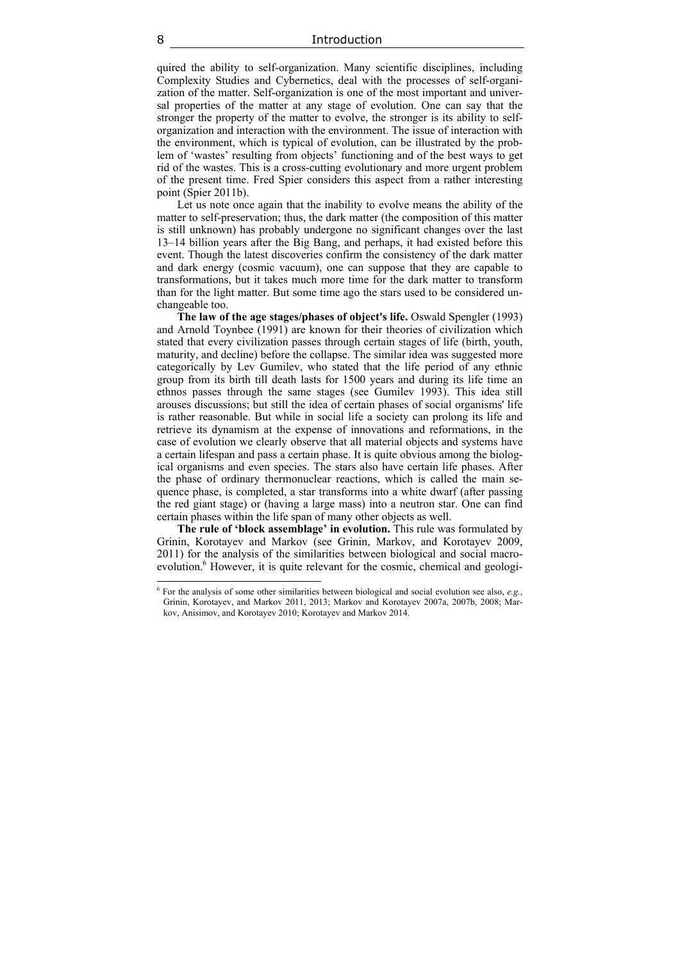quired the ability to self-organization. Many scientific disciplines, including Complexity Studies and Cybernetics, deal with the processes of self-organization of the matter. Self-organization is one of the most important and universal properties of the matter at any stage of evolution. One can say that the stronger the property of the matter to evolve, the stronger is its ability to selforganization and interaction with the environment. The issue of interaction with the environment, which is typical of evolution, can be illustrated by the problem of 'wastes' resulting from objects' functioning and of the best ways to get rid of the wastes. This is a cross-cutting evolutionary and more urgent problem of the present time. Fred Spier considers this aspect from a rather interesting point (Spier 2011b).

Let us note once again that the inability to evolve means the ability of the matter to self-preservation; thus, the dark matter (the composition of this matter is still unknown) has probably undergone no significant changes over the last 13–14 billion years after the Big Bang, and perhaps, it had existed before this event. Though the latest discoveries confirm the consistency of the dark matter and dark energy (cosmic vacuum), one can suppose that they are capable to transformations, but it takes much more time for the dark matter to transform than for the light matter. But some time ago the stars used to be considered unchangeable too.

**The law of the age stages/phases of object's life.** Oswald Spengler (1993) and Arnold Toynbee (1991) are known for their theories of civilization which stated that every civilization passes through certain stages of life (birth, youth, maturity, and decline) before the collapse. The similar idea was suggested more categorically by Lev Gumilev, who stated that the life period of any ethnic group from its birth till death lasts for 1500 years and during its life time an ethnos passes through the same stages (see Gumilev 1993). This idea still arouses discussions; but still the idea of certain phases of social organisms' life is rather reasonable. But while in social life a society can prolong its life and retrieve its dynamism at the expense of innovations and reformations, in the case of evolution we clearly observe that all material objects and systems have a certain lifespan and pass a certain phase. It is quite obvious among the biological organisms and even species. The stars also have certain life phases. After the phase of ordinary thermonuclear reactions, which is called the main sequence phase, is completed, a star transforms into a white dwarf (after passing the red giant stage) or (having a large mass) into a neutron star. One can find certain phases within the life span of many other objects as well.

**The rule of 'block assemblage' in evolution.** This rule was formulated by Grinin, Korotayev and Markov (see Grinin, Markov, and Korotayev 2009, 2011) for the analysis of the similarities between biological and social macroevolution.<sup>6</sup> However, it is quite relevant for the cosmic, chemical and geologi-

 $\overline{a}$ 

<sup>6</sup> For the analysis of some other similarities between biological and social evolution see also, *e.g.*, Grinin, Korotayev, and Markov 2011, 2013; Markov and Korotayev 2007a, 2007b, 2008; Markov, Anisimov, and Korotayev 2010; Korotayev and Markov 2014.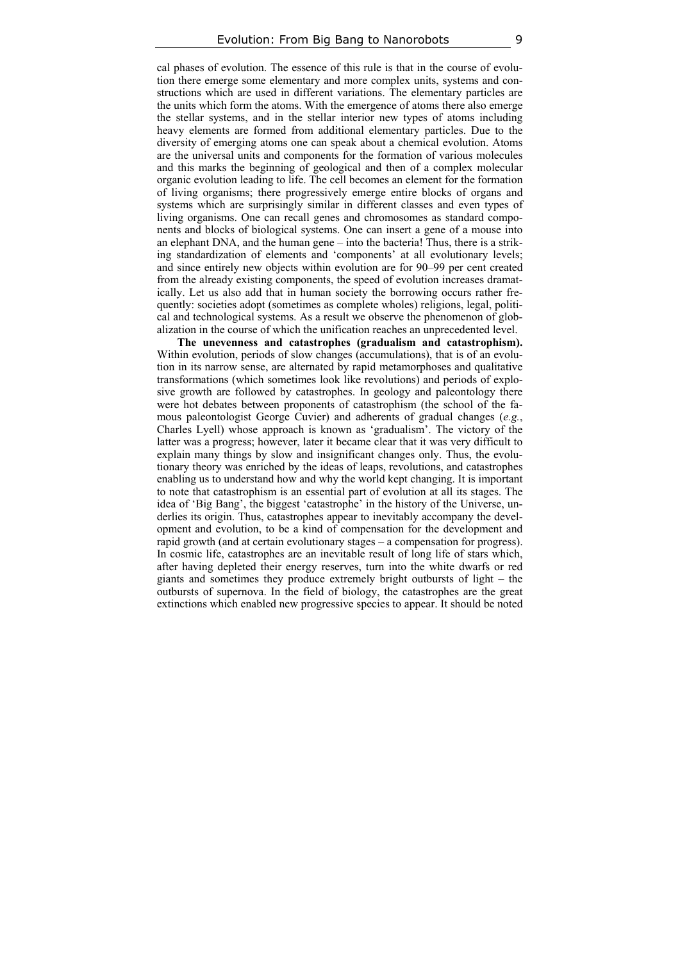cal phases of evolution. The essence of this rule is that in the course of evolution there emerge some elementary and more complex units, systems and constructions which are used in different variations. The elementary particles are the units which form the atoms. With the emergence of atoms there also emerge the stellar systems, and in the stellar interior new types of atoms including heavy elements are formed from additional elementary particles. Due to the diversity of emerging atoms one can speak about a chemical evolution. Atoms are the universal units and components for the formation of various molecules and this marks the beginning of geological and then of a complex molecular organic evolution leading to life. The cell becomes an element for the formation of living organisms; there progressively emerge entire blocks of organs and systems which are surprisingly similar in different classes and even types of living organisms. One can recall genes and chromosomes as standard components and blocks of biological systems. One can insert a gene of a mouse into an elephant DNA, and the human gene – into the bacteria! Thus, there is a striking standardization of elements and 'components' at all evolutionary levels; and since entirely new objects within evolution are for 90–99 per cent created from the already existing components, the speed of evolution increases dramatically. Let us also add that in human society the borrowing occurs rather frequently: societies adopt (sometimes as complete wholes) religions, legal, political and technological systems. As a result we observe the phenomenon of globalization in the course of which the unification reaches an unprecedented level.

**The unevenness and catastrophes (gradualism and catastrophism).**  Within evolution, periods of slow changes (accumulations), that is of an evolution in its narrow sense, are alternated by rapid metamorphoses and qualitative transformations (which sometimes look like revolutions) and periods of explosive growth are followed by catastrophes. In geology and paleontology there were hot debates between proponents of catastrophism (the school of the famous paleontologist George Cuvier) and adherents of gradual changes (*e.g.*, Charles Lyell) whose approach is known as 'gradualism'. The victory of the latter was a progress; however, later it became clear that it was very difficult to explain many things by slow and insignificant changes only. Thus, the evolutionary theory was enriched by the ideas of leaps, revolutions, and catastrophes enabling us to understand how and why the world kept changing. It is important to note that catastrophism is an essential part of evolution at all its stages. The idea of 'Big Bang', the biggest 'catastrophe' in the history of the Universe, underlies its origin. Thus, catastrophes appear to inevitably accompany the development and evolution, to be a kind of compensation for the development and rapid growth (and at certain evolutionary stages – a compensation for progress). In cosmic life, catastrophes are an inevitable result of long life of stars which, after having depleted their energy reserves, turn into the white dwarfs or red giants and sometimes they produce extremely bright outbursts of light – the outbursts of supernova. In the field of biology, the catastrophes are the great extinctions which enabled new progressive species to appear. It should be noted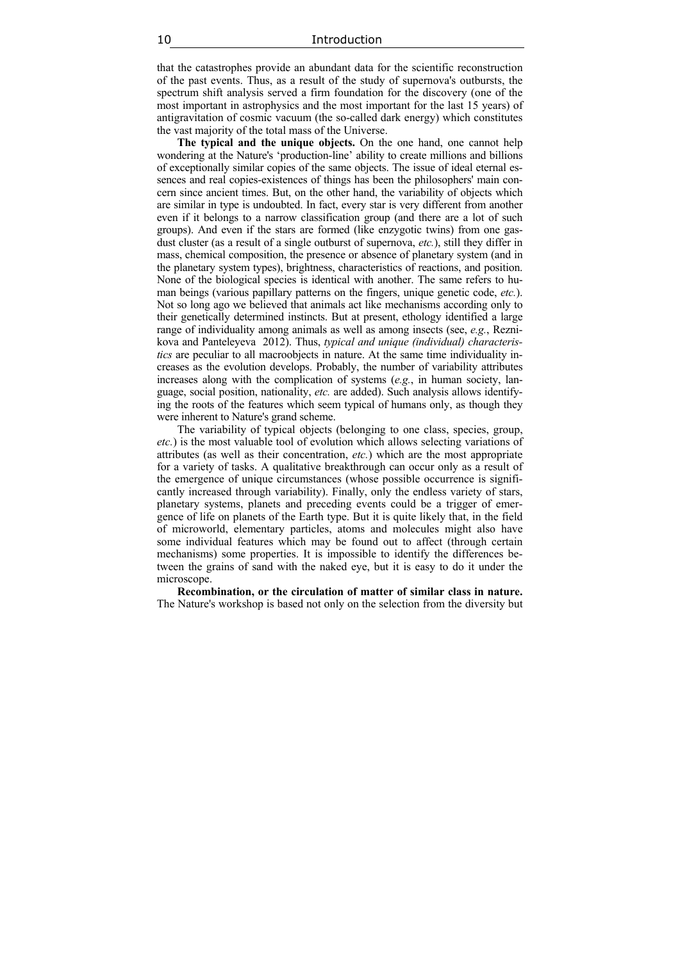that the catastrophes provide an abundant data for the scientific reconstruction of the past events. Thus, as a result of the study of supernova's outbursts, the spectrum shift analysis served a firm foundation for the discovery (one of the most important in astrophysics and the most important for the last 15 years) of antigravitation of cosmic vacuum (the so-called dark energy) which constitutes the vast majority of the total mass of the Universe.

**The typical and the unique objects.** On the one hand, one cannot help wondering at the Nature's 'production-line' ability to create millions and billions of exceptionally similar copies of the same objects. The issue of ideal eternal essences and real copies-existences of things has been the philosophers' main concern since ancient times. But, on the other hand, the variability of objects which are similar in type is undoubted. In fact, every star is very different from another even if it belongs to a narrow classification group (and there are a lot of such groups). And even if the stars are formed (like enzygotic twins) from one gasdust cluster (as a result of a single outburst of supernova, *etc.*), still they differ in mass, chemical composition, the presence or absence of planetary system (and in the planetary system types), brightness, characteristics of reactions, and position. None of the biological species is identical with another. The same refers to human beings (various papillary patterns on the fingers, unique genetic code, *etc.*). Not so long ago we believed that animals act like mechanisms according only to their genetically determined instincts. But at present, ethology identified a large range of individuality among animals as well as among insects (see, *e.g.*, Reznikova and Panteleyeva 2012). Thus, *typical and unique (individual) characteristics* are peculiar to all macroobjects in nature. At the same time individuality increases as the evolution develops. Probably, the number of variability attributes increases along with the complication of systems (*e.g.*, in human society, language, social position, nationality, *etc.* are added). Such analysis allows identifying the roots of the features which seem typical of humans only, as though they were inherent to Nature's grand scheme.

The variability of typical objects (belonging to one class, species, group, *etc.*) is the most valuable tool of evolution which allows selecting variations of attributes (as well as their concentration, *etc.*) which are the most appropriate for a variety of tasks. A qualitative breakthrough can occur only as a result of the emergence of unique circumstances (whose possible occurrence is significantly increased through variability). Finally, only the endless variety of stars, planetary systems, planets and preceding events could be a trigger of emergence of life on planets of the Earth type. But it is quite likely that, in the field of microworld, elementary particles, atoms and molecules might also have some individual features which may be found out to affect (through certain mechanisms) some properties. It is impossible to identify the differences between the grains of sand with the naked eye, but it is easy to do it under the microscope.

**Recombination, or the circulation of matter of similar class in nature.**  The Nature's workshop is based not only on the selection from the diversity but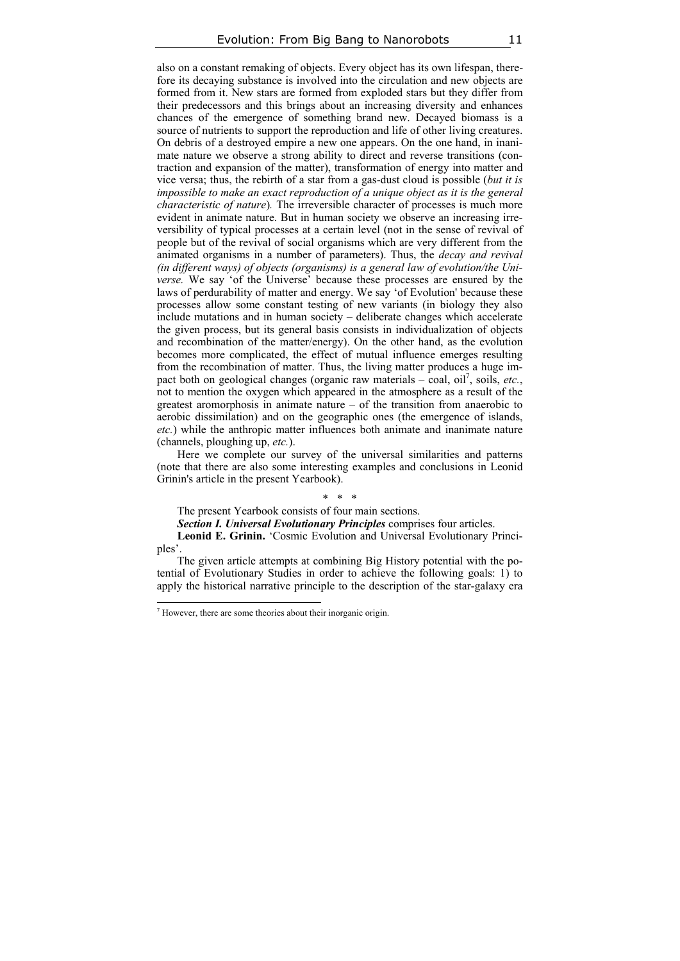also on a constant remaking of objects. Every object has its own lifespan, therefore its decaying substance is involved into the circulation and new objects are formed from it. New stars are formed from exploded stars but they differ from their predecessors and this brings about an increasing diversity and enhances chances of the emergence of something brand new. Decayed biomass is a source of nutrients to support the reproduction and life of other living creatures. On debris of a destroyed empire a new one appears. On the one hand, in inanimate nature we observe a strong ability to direct and reverse transitions (contraction and expansion of the matter), transformation of energy into matter and vice versa; thus, the rebirth of a star from a gas-dust cloud is possible (*but it is impossible to make an exact reproduction of a unique object as it is the general characteristic of nature*)*.* The irreversible character of processes is much more evident in animate nature. But in human society we observe an increasing irreversibility of typical processes at a certain level (not in the sense of revival of people but of the revival of social organisms which are very different from the animated organisms in a number of parameters). Thus, the *decay and revival (in different ways) of objects (organisms) is a general law of evolution/the Universe.* We say 'of the Universe' because these processes are ensured by the laws of perdurability of matter and energy. We say 'of Evolution' because these processes allow some constant testing of new variants (in biology they also include mutations and in human society – deliberate changes which accelerate the given process, but its general basis consists in individualization of objects and recombination of the matter/energy). On the other hand, as the evolution becomes more complicated, the effect of mutual influence emerges resulting from the recombination of matter. Thus, the living matter produces a huge impact both on geological changes (organic raw materials – coal, oil<sup>7</sup>, soils, etc., not to mention the oxygen which appeared in the atmosphere as a result of the greatest aromorphosis in animate nature – of the transition from anaerobic to aerobic dissimilation) and on the geographic ones (the emergence of islands, *etc.*) while the anthropic matter influences both animate and inanimate nature (channels, ploughing up, *etc.*).

Here we complete our survey of the universal similarities and patterns (note that there are also some interesting examples and conclusions in Leonid Grinin's article in the present Yearbook).

### \* \* \*

The present Yearbook consists of four main sections.

*Section I. Universal Evolutionary Principles* comprises four articles.

**Leonid E. Grinin.** 'Cosmic Evolution and Universal Evolutionary Principles'.

The given article attempts at combining Big History potential with the potential of Evolutionary Studies in order to achieve the following goals: 1) to apply the historical narrative principle to the description of the star-galaxy era

 $\overline{a}$ 

<sup>7</sup> However, there are some theories about their inorganic origin.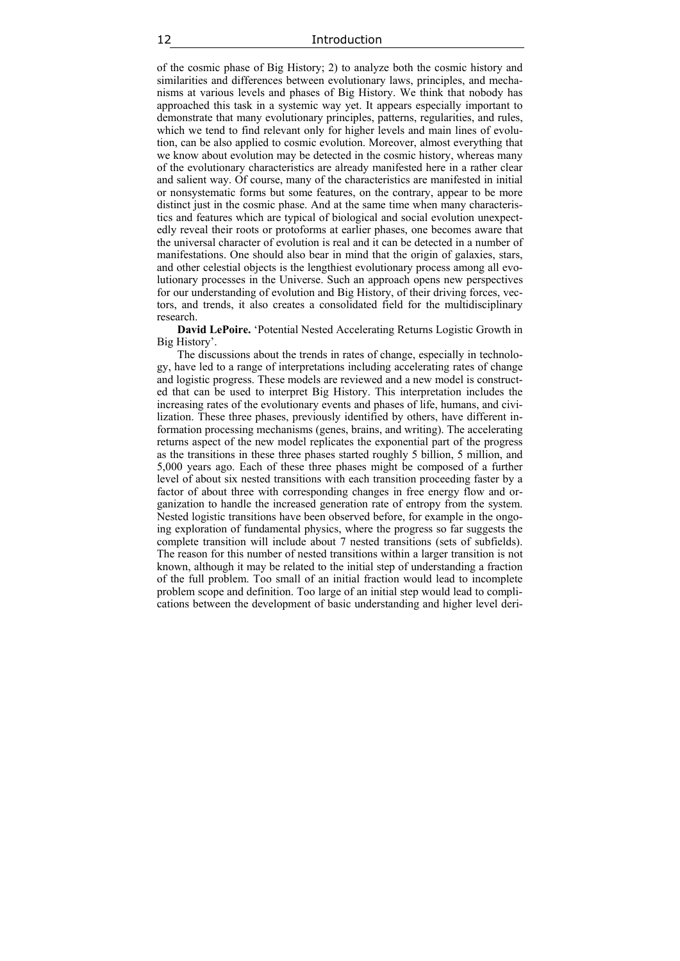of the cosmic phase of Big History; 2) to analyze both the cosmic history and similarities and differences between evolutionary laws, principles, and mechanisms at various levels and phases of Big History. We think that nobody has approached this task in a systemic way yet. It appears especially important to demonstrate that many evolutionary principles, patterns, regularities, and rules, which we tend to find relevant only for higher levels and main lines of evolution, can be also applied to cosmic evolution. Moreover, almost everything that we know about evolution may be detected in the cosmic history, whereas many of the evolutionary characteristics are already manifested here in a rather clear and salient way. Of course, many of the characteristics are manifested in initial or nonsystematic forms but some features, on the contrary, appear to be more distinct just in the cosmic phase. And at the same time when many characteristics and features which are typical of biological and social evolution unexpectedly reveal their roots or protoforms at earlier phases, one becomes aware that the universal character of evolution is real and it can be detected in a number of manifestations. One should also bear in mind that the origin of galaxies, stars, and other celestial objects is the lengthiest evolutionary process among all evolutionary processes in the Universe. Such an approach opens new perspectives for our understanding of evolution and Big History, of their driving forces, vectors, and trends, it also creates a consolidated field for the multidisciplinary research.

**David LePoire.** 'Potential Nested Accelerating Returns Logistic Growth in Big History'.

The discussions about the trends in rates of change, especially in technology, have led to a range of interpretations including accelerating rates of change and logistic progress. These models are reviewed and a new model is constructed that can be used to interpret Big History. This interpretation includes the increasing rates of the evolutionary events and phases of life, humans, and civilization. These three phases, previously identified by others, have different information processing mechanisms (genes, brains, and writing). The accelerating returns aspect of the new model replicates the exponential part of the progress as the transitions in these three phases started roughly 5 billion, 5 million, and 5,000 years ago. Each of these three phases might be composed of a further level of about six nested transitions with each transition proceeding faster by a factor of about three with corresponding changes in free energy flow and organization to handle the increased generation rate of entropy from the system. Nested logistic transitions have been observed before, for example in the ongoing exploration of fundamental physics, where the progress so far suggests the complete transition will include about 7 nested transitions (sets of subfields). The reason for this number of nested transitions within a larger transition is not known, although it may be related to the initial step of understanding a fraction of the full problem. Too small of an initial fraction would lead to incomplete problem scope and definition. Too large of an initial step would lead to complications between the development of basic understanding and higher level deri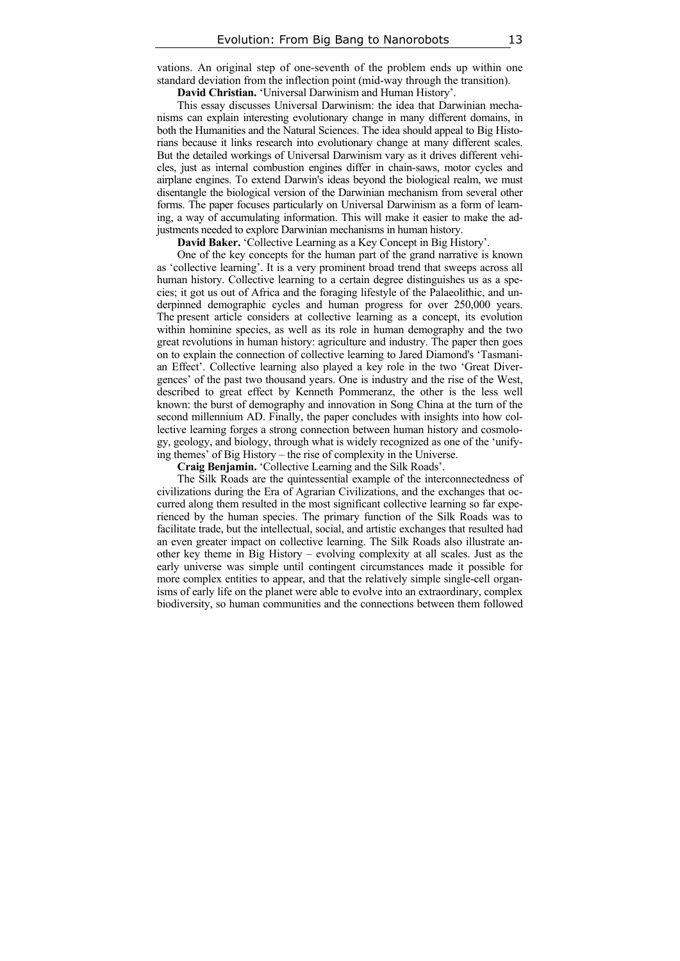vations. An original step of one-seventh of the problem ends up within one standard deviation from the inflection point (mid-way through the transition).

**David Christian.** 'Universal Darwinism and Human History'.

This essay discusses Universal Darwinism: the idea that Darwinian mechanisms can explain interesting evolutionary change in many different domains, in both the Humanities and the Natural Sciences. The idea should appeal to Big Historians because it links research into evolutionary change at many different scales. But the detailed workings of Universal Darwinism vary as it drives different vehicles, just as internal combustion engines differ in chain-saws, motor cycles and airplane engines. To extend Darwin's ideas beyond the biological realm, we must disentangle the biological version of the Darwinian mechanism from several other forms. The paper focuses particularly on Universal Darwinism as a form of learning, a way of accumulating information. This will make it easier to make the adjustments needed to explore Darwinian mechanisms in human history.

**David Baker.** 'Collective Learning as a Key Concept in Big History'.

One of the key concepts for the human part of the grand narrative is known as 'collective learning'. It is a very prominent broad trend that sweeps across all human history. Collective learning to a certain degree distinguishes us as a species; it got us out of Africa and the foraging lifestyle of the Palaeolithic, and underpinned demographic cycles and human progress for over 250,000 years. The present article considers at collective learning as a concept, its evolution within hominine species, as well as its role in human demography and the two great revolutions in human history: agriculture and industry. The paper then goes on to explain the connection of collective learning to Jared Diamond's 'Tasmanian Effect'. Collective learning also played a key role in the two 'Great Divergences' of the past two thousand years. One is industry and the rise of the West, described to great effect by Kenneth Pommeranz, the other is the less well known: the burst of demography and innovation in Song China at the turn of the second millennium AD. Finally, the paper concludes with insights into how collective learning forges a strong connection between human history and cosmology, geology, and biology, through what is widely recognized as one of the 'unifying themes' of Big History – the rise of complexity in the Universe.

**Craig Benjamin.** 'Collective Learning and the Silk Roads'.

The Silk Roads are the quintessential example of the interconnectedness of civilizations during the Era of Agrarian Civilizations, and the exchanges that occurred along them resulted in the most significant collective learning so far experienced by the human species. The primary function of the Silk Roads was to facilitate trade, but the intellectual, social, and artistic exchanges that resulted had an even greater impact on collective learning. The Silk Roads also illustrate another key theme in Big History – evolving complexity at all scales. Just as the early universe was simple until contingent circumstances made it possible for more complex entities to appear, and that the relatively simple single-cell organisms of early life on the planet were able to evolve into an extraordinary, complex biodiversity, so human communities and the connections between them followed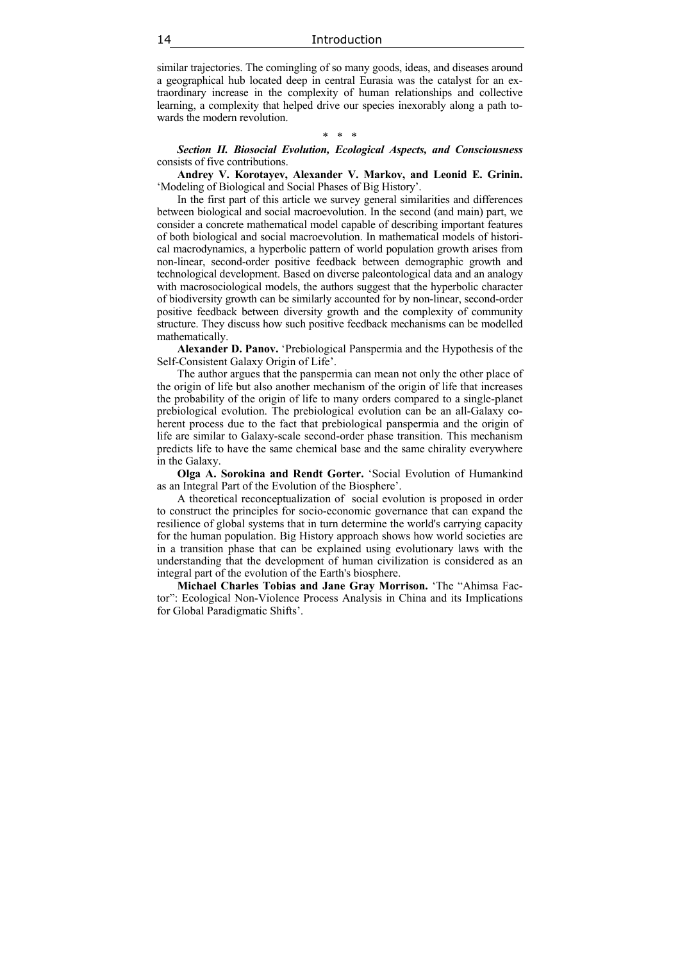similar trajectories. The comingling of so many goods, ideas, and diseases around a geographical hub located deep in central Eurasia was the catalyst for an extraordinary increase in the complexity of human relationships and collective learning, a complexity that helped drive our species inexorably along a path towards the modern revolution.

#### \* \* \*

*Section II. Biosocial Evolution, Ecological Aspects, and Consciousness*  consists of five contributions.

**Andrey V. Korotayev, Alexander V. Markov, and Leonid E. Grinin.** 'Modeling of Biological and Social Phases of Big History'.

In the first part of this article we survey general similarities and differences between biological and social macroevolution. In the second (and main) part, we consider a concrete mathematical model capable of describing important features of both biological and social macroevolution. In mathematical models of historical macrodynamics, a hyperbolic pattern of world population growth arises from non-linear, second-order positive feedback between demographic growth and technological development. Based on diverse paleontological data and an analogy with macrosociological models, the authors suggest that the hyperbolic character of biodiversity growth can be similarly accounted for by non-linear, second-order positive feedback between diversity growth and the complexity of community structure. They discuss how such positive feedback mechanisms can be modelled mathematically.

**Alexander D. Panov.** 'Prebiological Panspermia and the Hypothesis of the Self-Consistent Galaxy Origin of Life'.

The author argues that the panspermia can mean not only the other place of the origin of life but also another mechanism of the origin of life that increases the probability of the origin of life to many orders compared to a single-planet prebiological evolution. The prebiological evolution can be an all-Galaxy coherent process due to the fact that prebiological panspermia and the origin of life are similar to Galaxy-scale second-order phase transition. This mechanism predicts life to have the same chemical base and the same chirality everywhere in the Galaxy.

**Olga A. Sorokina and Rendt Gorter.** 'Social Evolution of Humankind as an Integral Part of the Evolution of the Biosphere'.

A theoretical reconceptualization of social evolution is proposed in order to construct the principles for socio-economic governance that can expand the resilience of global systems that in turn determine the world's carrying capacity for the human population. Big History approach shows how world societies are in a transition phase that can be explained using evolutionary laws with the understanding that the development of human civilization is considered as an integral part of the evolution of the Earth's biosphere.

**Michael Charles Tobias and Jane Gray Morrison.** 'The "Ahimsa Factor": Ecological Non-Violence Process Analysis in China and its Implications for Global Paradigmatic Shifts'.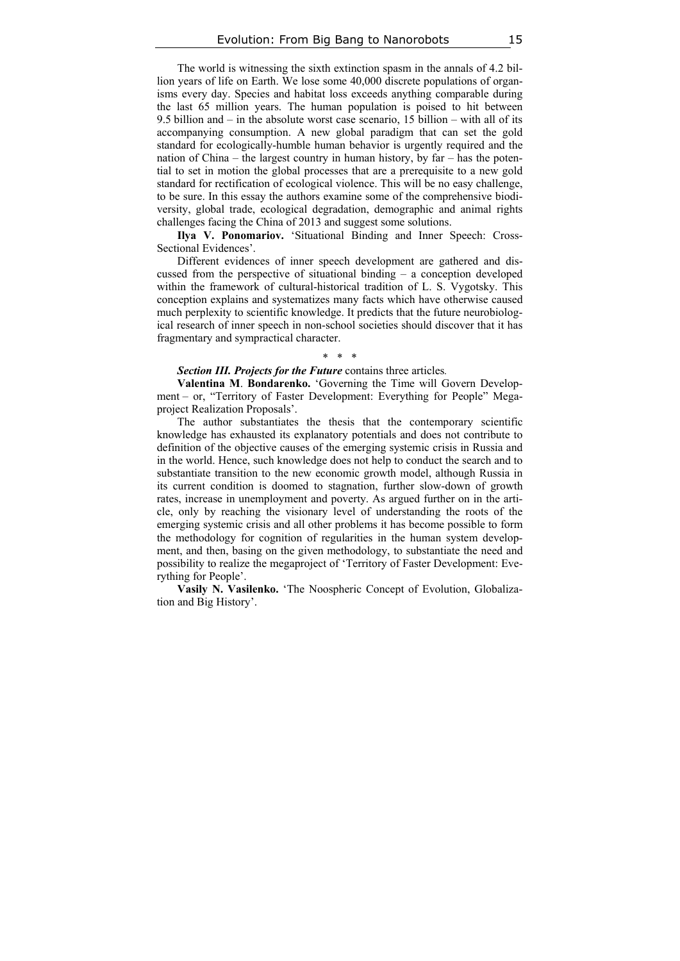The world is witnessing the sixth extinction spasm in the annals of 4.2 billion years of life on Earth. We lose some 40,000 discrete populations of organisms every day. Species and habitat loss exceeds anything comparable during the last 65 million years. The human population is poised to hit between 9.5 billion and – in the absolute worst case scenario, 15 billion – with all of its accompanying consumption. A new global paradigm that can set the gold standard for ecologically-humble human behavior is urgently required and the nation of China – the largest country in human history, by far – has the potential to set in motion the global processes that are a prerequisite to a new gold standard for rectification of ecological violence. This will be no easy challenge, to be sure. In this essay the authors examine some of the comprehensive biodiversity, global trade, ecological degradation, demographic and animal rights challenges facing the China of 2013 and suggest some solutions.

**Ilya V. Ponomariov.** 'Situational Binding and Inner Speech: Cross-Sectional Evidences'.

Different evidences of inner speech development are gathered and discussed from the perspective of situational binding – a conception developed within the framework of cultural-historical tradition of L. S. Vygotsky. This conception explains and systematizes many facts which have otherwise caused much perplexity to scientific knowledge. It predicts that the future neurobiological research of inner speech in non-school societies should discover that it has fragmentary and sympractical character.

### \* \* \*

#### *Section III. Projects for the Future* contains three articles*.*

**Valentina M**. **Bondarenko.** 'Governing the Time will Govern Development – or, "Territory of Faster Development: Everything for People" Megaproject Realization Proposals'.

The author substantiates the thesis that the contemporary scientific knowledge has exhausted its explanatory potentials and does not contribute to definition of the objective causes of the emerging systemic crisis in Russia and in the world. Hence, such knowledge does not help to conduct the search and to substantiate transition to the new economic growth model, although Russia in its current condition is doomed to stagnation, further slow-down of growth rates, increase in unemployment and poverty. As argued further on in the article, only by reaching the visionary level of understanding the roots of the emerging systemic crisis and all other problems it has become possible to form the methodology for cognition of regularities in the human system development, and then, basing on the given methodology, to substantiate the need and possibility to realize the megaproject of 'Territory of Faster Development: Everything for People'.

**Vasily N. Vasilenko.** 'The Noospheric Concept of Evolution, Globalization and Big History'.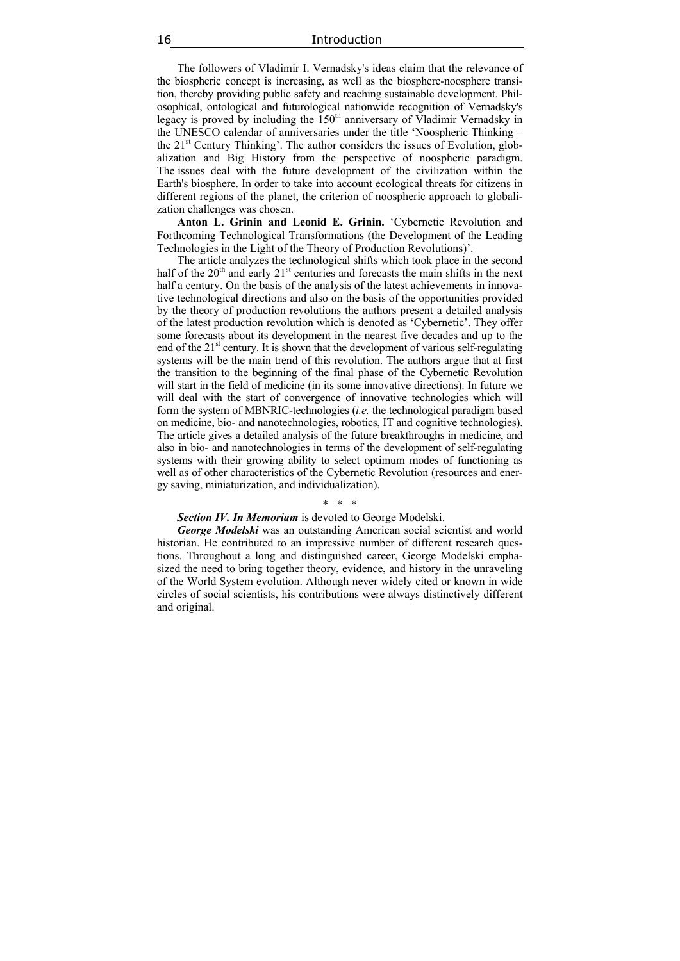The followers of Vladimir I. Vernadsky's ideas claim that the relevance of the biospheric concept is increasing, as well as the biosphere-noosphere transition, thereby providing public safety and reaching sustainable development. Philosophical, ontological and futurological nationwide recognition of Vernadsky's legacy is proved by including the  $150<sup>th</sup>$  anniversary of Vladimir Vernadsky in the UNESCO calendar of anniversaries under the title 'Noospheric Thinking – the  $21<sup>st</sup>$  Century Thinking'. The author considers the issues of Evolution, globalization and Big History from the perspective of noospheric paradigm. The issues deal with the future development of the civilization within the Earth's biosphere. In order to take into account ecological threats for citizens in different regions of the planet, the criterion of noospheric approach to globalization challenges was chosen.

**Anton L. Grinin and Leonid E. Grinin.** 'Cybernetic Revolution and Forthcoming Technological Transformations (the Development of the Leading Technologies in the Light of the Theory of Production Revolutions)'.

The article analyzes the technological shifts which took place in the second half of the  $20<sup>th</sup>$  and early  $21<sup>st</sup>$  centuries and forecasts the main shifts in the next half a century. On the basis of the analysis of the latest achievements in innovative technological directions and also on the basis of the opportunities provided by the theory of production revolutions the authors present a detailed analysis of the latest production revolution which is denoted as 'Сybernetic'. They offer some forecasts about its development in the nearest five decades and up to the end of the  $21<sup>st</sup>$  century. It is shown that the development of various self-regulating systems will be the main trend of this revolution. The authors argue that at first the transition to the beginning of the final phase of the Cybernetic Revolution will start in the field of medicine (in its some innovative directions). In future we will deal with the start of convergence of innovative technologies which will form the system of MBNRIC-technologies (*i.e.* the technological paradigm based on medicine, bio- and nanotechnologies, robotics, IT and cognitive technologies). The article gives a detailed analysis of the future breakthroughs in medicine, and also in bio- and nanotechnologies in terms of the development of self-regulating systems with their growing ability to select optimum modes of functioning as well as of other characteristics of the Cybernetic Revolution (resources and energy saving, miniaturization, and individualization).

### \* \* \*

### *Section IV. In Memoriam* is devoted to George Modelski.

*George Modelski* was an outstanding American social scientist and world historian. He contributed to an impressive number of different research questions. Throughout a long and distinguished career, George Modelski emphasized the need to bring together theory, evidence, and history in the unraveling of the World System evolution. Although never widely cited or known in wide circles of social scientists, his contributions were always distinctively different and original.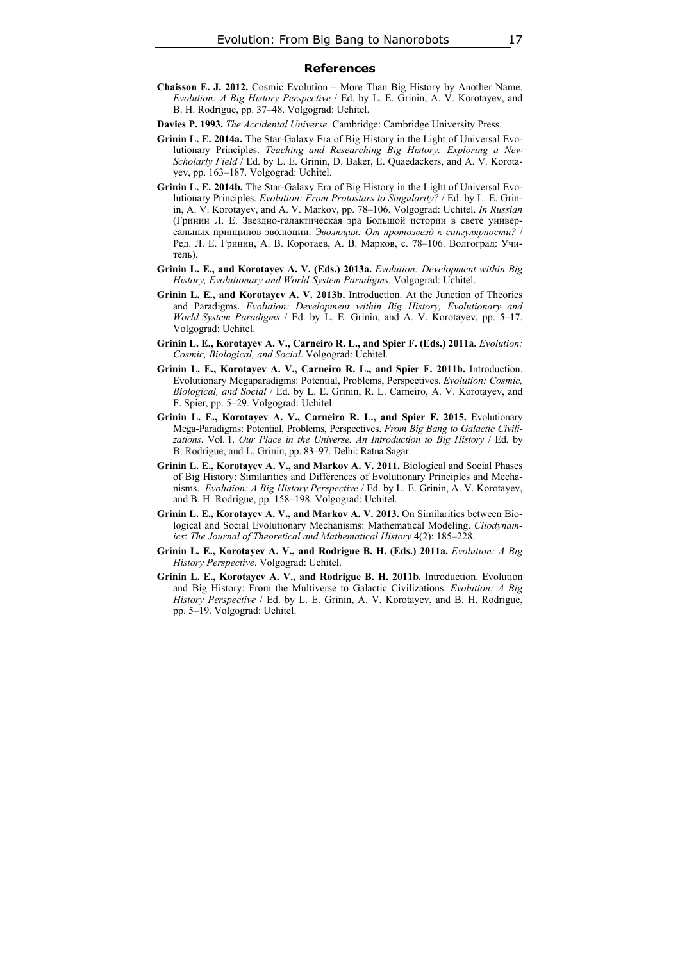#### **References**

- **Chaisson E. J. 2012.** Cosmic Evolution More Than Big History by Another Name. *Evolution: A Big History Perspective* / Ed. by L. E. Grinin, A. V. Korotayev, and B. H. Rodrigue, pp. 37–48. Volgograd: Uchitel.
- **Davies P. 1993.** *The Accidental Universe.* Cambridge: Cambridge University Press.
- **Grinin L. E. 2014a.** The Star-Galaxy Era of Big History in the Light of Universal Evolutionary Principles. *Teaching and Researching Big History: Exploring a New Scholarly Field* / Ed. by L. E. Grinin, D. Baker, E. Quaedackers, and A. V. Korotayev, pp. 163–187. Volgograd: Uchitel.
- **Grinin L. E. 2014b.** The Star-Galaxy Era of Big History in the Light of Universal Evolutionary Principles. *Evolution: From Protostars to Singularity?* / Ed. by L. E. Grinin, A. V. Korotayev, and A. V. Markov, pp. 78–106. Volgograd: Uchitel. *In Russian* (Гринин Л. Е. Звездно-галактическая эра Большой истории в свете универсальных принципов эволюции. *Эволюция: От протозвезд к сингулярности?* / Ред. Л. Е. Гринин, А. В. Коротаев, А. В. Марков, с. 78–106. Волгоград: Учитель).
- **Grinin L. E., and Korotayev А. V. (Eds.) 2013a.** *Evolution: Development within Big History, Evolutionary and World-System Paradigms.* Volgograd: Uchitel.
- **Grinin L. E., and Korotayev А. V. 2013b.** Introduction. At the Junction of Theories and Paradigms. *Evolution: Development within Big History, Evolutionary and World-System Paradigms* / Ed. by L. E. Grinin, and A. V. Korotayev, pp. 5–17. Volgograd: Uchitel.
- **Grinin L. E., Korotayev A. V., Carneiro R. L., and Spier F. (Eds.) 2011a.** *Evolution: Cosmic, Biological, and Social*. Volgograd: Uchitel.
- **Grinin L. E., Korotayev A. V., Carneiro R. L., and Spier F. 2011b.** Introduction. Evolutionary Megaparadigms: Potential, Problems, Perspectives. *Evolution: Cosmic, Biological, and Social* / Ed. by L. E. Grinin, R. L. Carneiro, A. V. Korotayev, and F. Spier, pp. 5–29. Volgograd: Uchitel.
- **Grinin L. E., Korotayev A. V., Carneiro R. L., and Spier F. 2015.** Evolutionary Mega-Paradigms: Potential, Problems, Perspectives. *From Big Bang to Galactic Civili*zations. Vol. 1. Our Place in the Universe. An Introduction to Big History / Ed. by B. Rodrigue, and L. Grinin, pp. 83–97. Delhi: Ratna Sagar.
- **Grinin L. E., Korotayev A. V., and Markov A. V. 2011.** Biological and Social Phases of Big History: Similarities and Differences of Evolutionary Principles and Mechanisms. *Evolution: A Big History Perspective* / Ed. by L. E. Grinin, A. V. Korotayev, and B. H. Rodrigue, pp. 158–198. Volgograd: Uchitel.
- **Grinin L. E., Korotayev A. V., and Markov A. V. 2013.** On Similarities between Biological and Social Evolutionary Mechanisms: Mathematical Modeling. *Cliodynamics*: *The Journal of Theoretical and Mathematical History* 4(2): 185–228.
- **Grinin L. E., Korotayev А. V., and Rodrigue B. H. (Eds.) 2011a.** *Evolution: A Big History Perspective*. Volgograd: Uchitel.
- **Grinin L. E., Korotayev А. V., and Rodrigue B. H. 2011b.** Introduction. Evolution and Big History: From the Multiverse to Galactic Civilizations. *Evolution: A Big History Perspective* / Ed. by L. E. Grinin, A. V. Korotayev, and B. H. Rodrigue, pp. 5–19. Volgograd: Uchitel.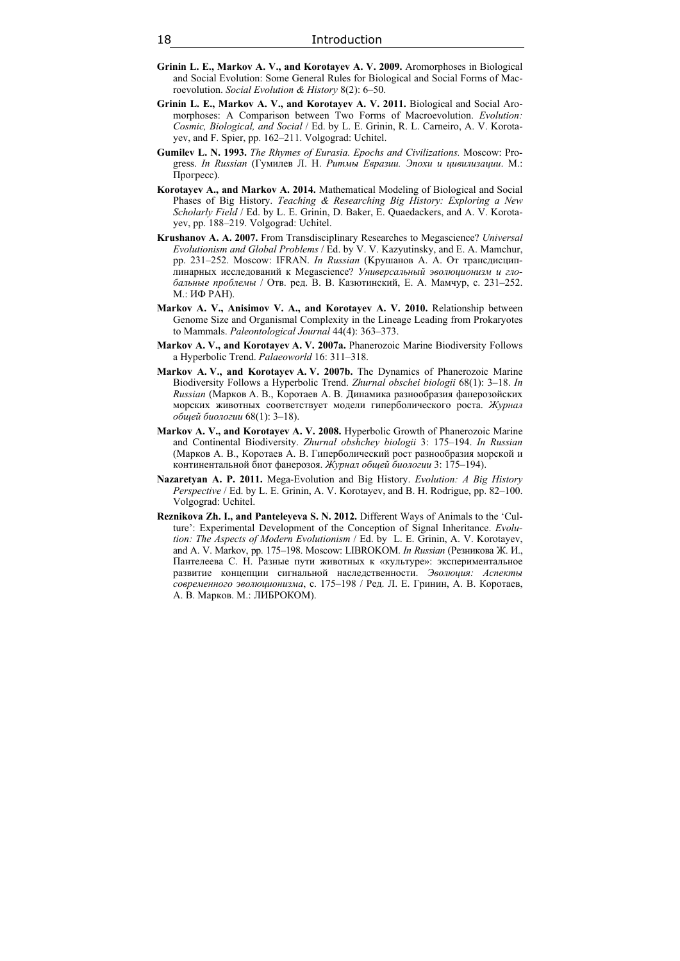- **Grinin L. E., Markov A. V., and Korotayev A. V. 2009.** Aromorphoses in Biological and Social Evolution: Some General Rules for Biological and Social Forms of Macroevolution. *Social Evolution & History* 8(2): 6–50.
- **Grinin L. E., Markov A. V., and Korotayev A. V. 2011.** Biological and Social Aromorphoses: A Comparison between Two Forms of Macroevolution. *Evolution: Cosmic, Biological, and Social* / Ed. by L. E. Grinin, R. L. Carneiro, A. V. Korotayev, and F. Spier, pp. 162–211. Volgograd: Uchitel.
- **Gumilev L. N. 1993.** *The Rhymes of Eurasia. Epochs and Civilizations.* Moscow: Progress. *In Russian* (Гумилев Л. Н. *Ритмы Евразии. Эпохи и цивилизации*. М.: Прогресс).
- **Korotayev A., and Markov A. 2014.** Mathematical Modeling of Biological and Social Phases of Big History. *Teaching & Researching Big History: Exploring a New Scholarly Field* / Ed. by L. E. Grinin, D. Baker, E. Quaedackers, and A. V. Korotayev, pp. 188–219. Volgograd: Uchitel.
- **Krushanov A. A. 2007.** From Transdisciplinary Researches to Megascience? *Universal Evolutionism and Global Problems* / Ed. by V. V. Kazyutinsky, and E. A. Mamchur, pp. 231–252. Moscow: IFRAN. *In Russian* (Kрушанов А. А. От трансдисциплинарных исследований к Megascience? *Универсальный эволюционизм и глобальные проблемы* / Отв. ред. B. В. Казютинский, Е. А. Мамчур, с. 231–252. М.: ИФ РАН).
- **Markov A. V., Anisimov V. A., and Korotayev A. V. 2010.** Relationship between Genome Size and Organismal Complexity in the Lineage Leading from Prokaryotes to Mammals. *Paleontological Journal* 44(4): 363–373.
- **Markov A. V., and Korotayev A. V. 2007a.** Phanerozoic Marine Biodiversity Follows a Hyperbolic Trend. *Palaeoworld* 16: 311–318.
- **Markov A. V., and Korotayev A. V. 2007b.** The Dynamics of Phanerozoic Marine Biodiversity Follows a Hyperbolic Trend. *Zhurnal obschei biologii* 68(1): 3–18. *In Russian* (Марков А. В., Коротаев А. В. Динамика разнообразия фанерозойских морских животных соответствует модели гиперболического роста. *Журнал общей биологии* 68(1): 3–18).
- **Markov A. V., and Korotayev A. V. 2008.** Hyperbolic Growth of Phanerozoic Marine and Continental Biodiversity. *Zhurnal obshchey biologii* 3: 175–194. *In Russian* (Марков А. В., Коротаев А. В. Гиперболический рост разнообразия морской и континентальной биот фанерозоя. *Журнал общей биологии* 3: 175–194).
- **Nazaretyan A. P. 2011.** Mega-Evolution and Big History. *Evolution: A Big History Perspective* / Ed. by L. E. Grinin, A. V. Korotayev, and B. H. Rodrigue, pp. 82–100. Volgograd: Uchitel.
- **Reznikova Zh. I., and Panteleyeva S. N. 2012.** Different Ways of Animals to the 'Culture': Experimental Development of the Conception of Signal Inheritance. *Evolution: The Aspects of Modern Evolutionism* / Ed. by L. E. Grinin, A. V. Korotayev, and A. V. Markov, pp. 175–198. Moscow: LIBROKOM. *In Russian* (Резникова Ж. И., Пантелеева С. Н. Разные пути животных к «культуре»: экспериментальное развитие концепции сигнальной наследственности. *Эволюция: Аспекты современного эволюционизма*, с. 175–198 / Ред. Л. Е. Гринин, А. В. Коротаев, А. В. Марков. М.: ЛИБРОКОМ).